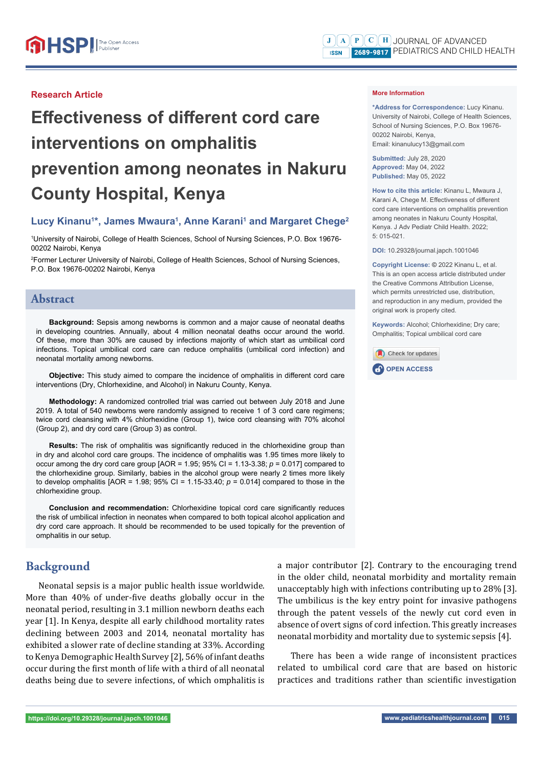## **Research Article**

# **Effectiveness of different cord care interventions on omphalitis prevention among neonates in Nakuru County Hospital, Kenya**

# Lucy Kinanu<sup>1\*</sup>, James Mwaura<sup>1</sup>, Anne Karani<sup>1</sup> and Margaret Chege<sup>2</sup>

1 University of Nairobi, College of Health Sciences, School of Nursing Sciences, P.O. Box 19676- 00202 Nairobi, Kenya

2 Former Lecturer University of Nairobi, College of Health Sciences, School of Nursing Sciences, P.O. Box 19676-00202 Nairobi, Kenya

# **Abstract**

**Background:** Sepsis among newborns is common and a major cause of neonatal deaths in developing countries. Annually, about 4 million neonatal deaths occur around the world. Of these, more than 30% are caused by infections majority of which start as umbilical cord infections. Topical umbilical cord care can reduce omphalitis (umbilical cord infection) and neonatal mortality among newborns.

**Objective:** This study aimed to compare the incidence of omphalitis in different cord care interventions (Dry, Chlorhexidine, and Alcohol) in Nakuru County, Kenya.

**Methodology:** A randomized controlled trial was carried out between July 2018 and June 2019. A total of 540 newborns were randomly assigned to receive 1 of 3 cord care regimens; twice cord cleansing with 4% chlorhexidine (Group 1), twice cord cleansing with 70% alcohol (Group 2), and dry cord care (Group 3) as control.

**Results:** The risk of omphalitis was significantly reduced in the chlorhexidine group than in dry and alcohol cord care groups. The incidence of omphalitis was 1.95 times more likely to occur among the dry cord care group  $[AOR = 1.95; 95\% CI = 1.13-3.38; p = 0.017]$  compared to the chlorhexidine group. Similarly, babies in the alcohol group were nearly 2 times more likely to develop omphalitis  $[AOR = 1.98; 95\% \text{ Cl} = 1.15-33.40; p = 0.014]$  compared to those in the chlorhexidine group.

**Conclusion and recommendation:** Chlorhexidine topical cord care significantly reduces the risk of umbilical infection in neonates when compared to both topical alcohol application and dry cord care approach. It should be recommended to be used topically for the prevention of omphalitis in our setup.

# **Background**

Neonatal sepsis is a major public health issue worldwide. More than 40% of under-five deaths globally occur in the neonatal period, resulting in 3.1 million newborn deaths each year [1]. In Kenya, despite all early childhood mortality rates declining between 2003 and 2014, neonatal mortality has exhibited a slower rate of decline standing at 33%. According to Kenya Demographic Health Survey [2], 56% of infant deaths occur during the first month of life with a third of all neonatal deaths being due to severe infections, of which omphalitis is a major contributor [2]. Contrary to the encouraging trend in the older child, neonatal morbidity and mortality remain unacceptably high with infections contributing up to 28% [3]. The umbilicus is the key entry point for invasive pathogens through the patent vessels of the newly cut cord even in absence of overt signs of cord infection. This greatly increases neonatal morbidity and mortality due to systemic sepsis [4].

There has been a wide range of inconsistent practices related to umbilical cord care that are based on historic practices and traditions rather than scientific investigation

**\*Address for Correspondence:** Lucy Kinanu. University of Nairobi, College of Health Sciences, School of Nursing Sciences, P.O. Box 19676- 00202 Nairobi, Kenya, Email: kinanulucy13@gmail.com

**Submitted:** July 28, 2020 **Approved:** May 04, 2022 **Published:** May 05, 2022

**How to cite this article:** Kinanu L, Mwaura J, Karani A, Chege M, Effectiveness of different cord care interventions on omphalitis prevention among neonates in Nakuru County Hospital, Kenya. J Adv Pediatr Child Health. 2022;  $5: 015 - 021$ 

**DOI:** 10.29328/journal.japch.1001046

**Copyright License: ©** 2022 Kinanu L, et al. This is an open access article distributed under the Creative Commons Attribution License, which permits unrestricted use, distribution, and reproduction in any medium, provided the original work is properly cited.

**Keywords:** Alcohol; Chlorhexidine; Dry care; Omphalitis; Topical umbilical cord care

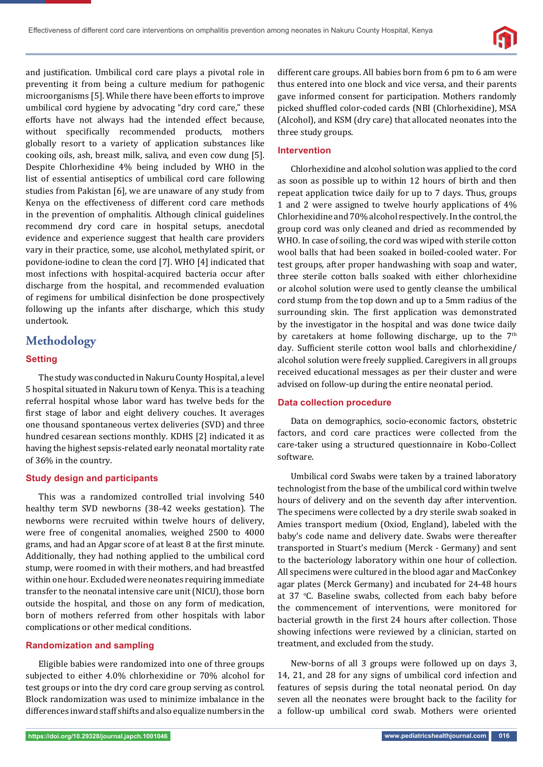

and justification. Umbilical cord care plays a pivotal role in preventing it from being a culture medium for pathogenic microorganisms [5]. While there have been efforts to improve umbilical cord hygiene by advocating "dry cord care," these efforts have not always had the intended effect because, without specifically recommended products, mothers globally resort to a variety of application substances like cooking oils, ash, breast milk, saliva, and even cow dung [5]. Despite Chlorhexidine 4% being included by WHO in the list of essential antiseptics of umbilical cord care following studies from Pakistan [6], we are unaware of any study from Kenya on the effectiveness of different cord care methods in the prevention of omphalitis. Although clinical guidelines recommend dry cord care in hospital setups, anecdotal evidence and experience suggest that health care providers vary in their practice, some, use alcohol, methylated spirit, or povidone-iodine to clean the cord [7]. WHO [4] indicated that most infections with hospital-acquired bacteria occur after discharge from the hospital, and recommended evaluation of regimens for umbilical disinfection be done prospectively following up the infants after discharge, which this study undertook.

# **Methodology**

## **Setting**

The study was conducted in Nakuru County Hospital, a level 5 hospital situated in Nakuru town of Kenya. This is a teaching referral hospital whose labor ward has twelve beds for the first stage of labor and eight delivery couches. It averages one thousand spontaneous vertex deliveries (SVD) and three hundred cesarean sections monthly. KDHS [2] indicated it as having the highest sepsis-related early neonatal mortality rate of 36% in the country.

## **Study design and participants**

This was a randomized controlled trial involving 540 healthy term SVD newborns (38-42 weeks gestation). The newborns were recruited within twelve hours of delivery, were free of congenital anomalies, weighed 2500 to 4000 grams, and had an Apgar score of at least 8 at the first minute. Additionally, they had nothing applied to the umbilical cord stump, were roomed in with their mothers, and had breastfed within one hour. Excluded were neonates requiring immediate transfer to the neonatal intensive care unit (NICU), those born outside the hospital, and those on any form of medication, born of mothers referred from other hospitals with labor complications or other medical conditions.

## **Randomization and sampling**

Eligible babies were randomized into one of three groups subjected to either 4.0% chlorhexidine or 70% alcohol for test groups or into the dry cord care group serving as control. Block randomization was used to minimize imbalance in the differences inward staff shifts and also equalize numbers in the

different care groups. All babies born from 6 pm to 6 am were thus entered into one block and vice versa, and their parents gave informed consent for participation. Mothers randomly picked shuffled color-coded cards (NBI (Chlorhexidine), MSA (Alcohol), and KSM (dry care) that allocated neonates into the three study groups.

### **Intervention**

Chlorhexidine and alcohol solution was applied to the cord as soon as possible up to within 12 hours of birth and then repeat application twice daily for up to 7 days. Thus, groups 1 and 2 were assigned to twelve hourly applications of 4% Chlorhexidine and 70% alcohol respectively. In the control, the group cord was only cleaned and dried as recommended by WHO. In case of soiling, the cord was wiped with sterile cotton wool balls that had been soaked in boiled-cooled water. For test groups, after proper handwashing with soap and water, three sterile cotton balls soaked with either chlorhexidine or alcohol solution were used to gently cleanse the umbilical cord stump from the top down and up to a 5mm radius of the surrounding skin. The first application was demonstrated by the investigator in the hospital and was done twice daily by caretakers at home following discharge, up to the  $7<sup>th</sup>$ day. Sufficient sterile cotton wool balls and chlorhexidine/ alcohol solution were freely supplied. Caregivers in all groups received educational messages as per their cluster and were advised on follow-up during the entire neonatal period.

## **Data collection procedure**

Data on demographics, socio-economic factors, obstetric factors, and cord care practices were collected from the care-taker using a structured questionnaire in Kobo-Collect software.

Umbilical cord Swabs were taken by a trained laboratory technologist from the base of the umbilical cord within twelve hours of delivery and on the seventh day after intervention. The specimens were collected by a dry sterile swab soaked in Amies transport medium (Oxiod, England), labeled with the baby's code name and delivery date. Swabs were thereafter transported in Stuart's medium (Merck - Germany) and sent to the bacteriology laboratory within one hour of collection. All specimens were cultured in the blood agar and MacConkey agar plates (Merck Germany) and incubated for 24-48 hours at 37 °C. Baseline swabs, collected from each baby before the commencement of interventions, were monitored for bacterial growth in the first 24 hours after collection. Those showing infections were reviewed by a clinician, started on treatment, and excluded from the study.

New-borns of all 3 groups were followed up on days 3, 14, 21, and 28 for any signs of umbilical cord infection and features of sepsis during the total neonatal period. On day seven all the neonates were brought back to the facility for a follow-up umbilical cord swab. Mothers were oriented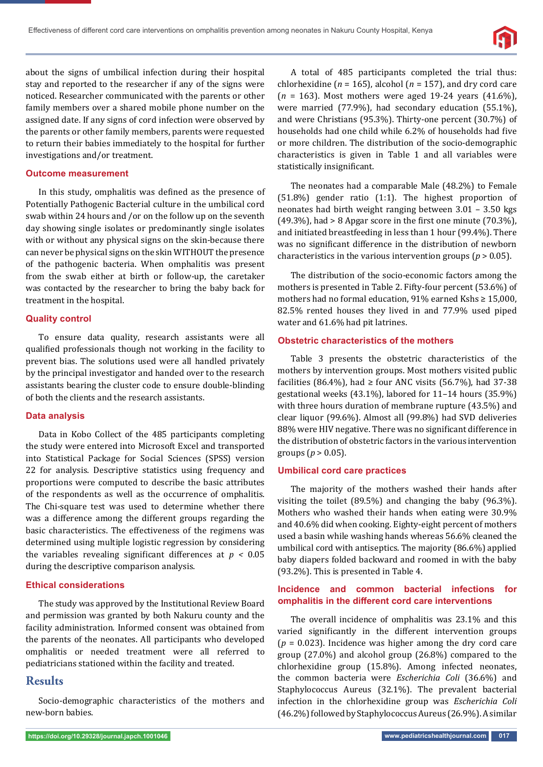

about the signs of umbilical infection during their hospital stay and reported to the researcher if any of the signs were noticed. Researcher communicated with the parents or other family members over a shared mobile phone number on the assigned date. If any signs of cord infection were observed by the parents or other family members, parents were requested to return their babies immediately to the hospital for further investigations and/or treatment.

## **Outcome measurement**

In this study, omphalitis was defined as the presence of Potentially Pathogenic Bacterial culture in the umbilical cord swab within 24 hours and /or on the follow up on the seventh day showing single isolates or predominantly single isolates with or without any physical signs on the skin-because there can never be physical signs on the skin WITHOUT the presence of the pathogenic bacteria. When omphalitis was present from the swab either at birth or follow-up, the caretaker was contacted by the researcher to bring the baby back for treatment in the hospital.

#### **Quality control**

To ensure data quality, research assistants were all qualified professionals though not working in the facility to prevent bias. The solutions used were all handled privately by the principal investigator and handed over to the research assistants bearing the cluster code to ensure double-blinding of both the clients and the research assistants.

#### **Data analysis**

Data in Kobo Collect of the 485 participants completing the study were entered into Microsoft Excel and transported into Statistical Package for Social Sciences (SPSS) version 22 for analysis. Descriptive statistics using frequency and proportions were computed to describe the basic attributes of the respondents as well as the occurrence of omphalitis. The Chi-square test was used to determine whether there was a difference among the different groups regarding the basic characteristics. The effectiveness of the regimens was determined using multiple logistic regression by considering the variables revealing significant differences at  $p < 0.05$ during the descriptive comparison analysis.

#### **Ethical considerations**

The study was approved by the Institutional Review Board and permission was granted by both Nakuru county and the facility administration. Informed consent was obtained from the parents of the neonates. All participants who developed omphalitis or needed treatment were all referred to pediatricians stationed within the facility and treated.

## **Results**

Socio-demographic characteristics of the mothers and new-born babies.

A total of 485 participants completed the trial thus: chlorhexidine ( $n = 165$ ), alcohol ( $n = 157$ ), and dry cord care (*n* = 163). Most mothers were aged 19-24 years (41.6%), were married (77.9%), had secondary education (55.1%), and were Christians (95.3%). Thirty-one percent (30.7%) of households had one child while 6.2% of households had five or more children. The distribution of the socio-demographic characteristics is given in Table 1 and all variables were statistically insignificant.

The neonates had a comparable Male (48.2%) to Female (51.8%) gender ratio (1:1). The highest proportion of neonates had birth weight ranging between 3.01 – 3.50 kgs  $(49.3\%)$ , had > 8 Apgar score in the first one minute  $(70.3\%)$ , and initiated breastfeeding in less than 1 hour (99.4%). There was no significant difference in the distribution of newborn characteristics in the various intervention groups (*p* > 0.05).

The distribution of the socio-economic factors among the mothers is presented in Table 2. Fifty-four percent (53.6%) of mothers had no formal education, 91% earned Kshs ≥ 15,000, 82.5% rented houses they lived in and 77.9% used piped water and 61.6% had pit latrines.

#### **Obstetric characteristics of the mothers**

Table 3 presents the obstetric characteristics of the mothers by intervention groups. Most mothers visited public facilities (86.4%), had  $\geq$  four ANC visits (56.7%), had 37-38 gestational weeks (43.1%), labored for 11–14 hours (35.9%) with three hours duration of membrane rupture (43.5%) and clear liquor (99.6%). Almost all (99.8%) had SVD deliveries 88% were HIV negative. There was no significant difference in the distribution of obstetric factors in the various intervention groups (*p* > 0.05).

#### **Umbilical cord care practices**

The majority of the mothers washed their hands after visiting the toilet (89.5%) and changing the baby (96.3%). Mothers who washed their hands when eating were 30.9% and 40.6% did when cooking. Eighty-eight percent of mothers used a basin while washing hands whereas 56.6% cleaned the umbilical cord with antiseptics. The majority (86.6%) applied baby diapers folded backward and roomed in with the baby (93.2%). This is presented in Table 4.

## **Incidence and common bacterial infections for omphalitis in the different cord care interventions**

The overall incidence of omphalitis was 23.1% and this varied significantly in the different intervention groups  $(p = 0.023)$ . Incidence was higher among the dry cord care group (27.0%) and alcohol group (26.8%) compared to the chlorhexidine group (15.8%). Among infected neonates, the common bacteria were *Escherichia Coli* (36.6%) and Staphylococcus Aureus (32.1%). The prevalent bacterial infection in the chlorhexidine group was *Escherichia Coli*  (46.2%) followed by Staphylococcus Aureus (26.9%). A similar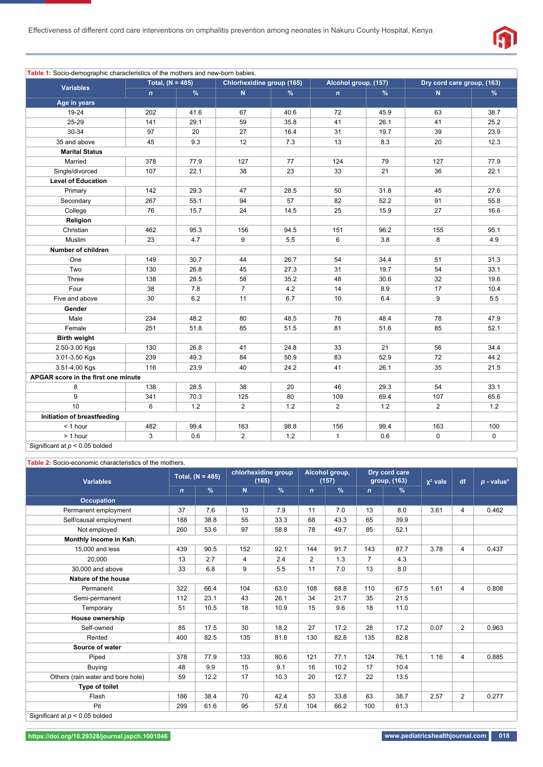

| Table 1: Socio-demographic characteristics of the mothers and new-born babies. |                    |      |                           |      |                      |               |                            |      |  |
|--------------------------------------------------------------------------------|--------------------|------|---------------------------|------|----------------------|---------------|----------------------------|------|--|
|                                                                                | Total, $(N = 485)$ |      | Chlorhexidine group (165) |      | Alcohol group, (157) |               | Dry cord care group, (163) |      |  |
| <b>Variables</b>                                                               | $\mathbf{n}$       | %    | $\mathbf N$               | $\%$ | $\mathbf{n}$         | $\frac{9}{6}$ | $\mathbf N$                | $\%$ |  |
| Age in years                                                                   |                    |      |                           |      |                      |               |                            |      |  |
| 19-24                                                                          | 202                | 41.6 | 67                        | 40.6 | 72                   | 45.9          | 63                         | 38.7 |  |
| 25-29                                                                          | 141                | 29.1 | 59                        | 35.8 | 41                   | 26.1          | 41                         | 25.2 |  |
| 30-34                                                                          | 97                 | 20   | 27                        | 16.4 | 31                   | 19.7          | 39                         | 23.9 |  |
| 35 and above                                                                   | 45                 | 9.3  | 12                        | 7.3  | 13                   | 8.3           | 20                         | 12.3 |  |
| <b>Marital Status</b>                                                          |                    |      |                           |      |                      |               |                            |      |  |
| Married                                                                        | 378                | 77.9 | 127                       | 77   | 124                  | 79            | 127                        | 77.9 |  |
| Single/divorced                                                                | 107                | 22.1 | 38                        | 23   | 33                   | 21            | 36                         | 22.1 |  |
| <b>Level of Education</b>                                                      |                    |      |                           |      |                      |               |                            |      |  |
| Primary                                                                        | 142                | 29.3 | 47                        | 28.5 | 50                   | 31.8          | 45                         | 27.6 |  |
| Secondary                                                                      | 267                | 55.1 | 94                        | 57   | 82                   | 52.2          | 91                         | 55.8 |  |
| College                                                                        | 76                 | 15.7 | 24                        | 14.5 | 25                   | 15.9          | 27                         | 16.6 |  |
| Religion                                                                       |                    |      |                           |      |                      |               |                            |      |  |
| Christian                                                                      | 462                | 95.3 | 156                       | 94.5 | 151                  | 96.2          | 155                        | 95.1 |  |
| Muslim                                                                         | 23                 | 4.7  | 9                         | 5.5  | 6                    | 3.8           | 8                          | 4.9  |  |
| Number of children                                                             |                    |      |                           |      |                      |               |                            |      |  |
| One                                                                            | 149                | 30.7 | 44                        | 26.7 | 54                   | 34.4          | 51                         | 31.3 |  |
| Two                                                                            | 130                | 26.8 | 45                        | 27.3 | 31                   | 19.7          | 54                         | 33.1 |  |
| Three                                                                          | 138                | 28.5 | 58                        | 35.2 | 48                   | 30.6          | 32                         | 19.6 |  |
| Four                                                                           | 38                 | 7.8  | $\overline{7}$            | 4.2  | 14                   | 8.9           | 17                         | 10.4 |  |
| Five and above                                                                 | 30                 | 6.2  | 11                        | 6.7  | 10                   | 6.4           | 9                          | 5.5  |  |
| Gender                                                                         |                    |      |                           |      |                      |               |                            |      |  |
| Male                                                                           | 234                | 48.2 | 80                        | 48.5 | 76                   | 48.4          | 78                         | 47.9 |  |
| Female                                                                         | 251                | 51.8 | 85                        | 51.5 | 81                   | 51.6          | 85                         | 52.1 |  |
| <b>Birth weight</b>                                                            |                    |      |                           |      |                      |               |                            |      |  |
| 2.50-3.00 Kgs                                                                  | 130                | 26.8 | 41                        | 24.8 | 33                   | 21            | 56                         | 34.4 |  |
| 3.01-3.50 Kgs                                                                  | 239                | 49.3 | 84                        | 50.9 | 83                   | 52.9          | 72                         | 44.2 |  |
| 3.51-4.00 Kgs                                                                  | 116                | 23.9 | 40                        | 24.2 | 41                   | 26.1          | 35                         | 21.5 |  |
| APGAR score in the first one minute                                            |                    |      |                           |      |                      |               |                            |      |  |
| 8                                                                              | 138                | 28.5 | 38                        | 20   | 46                   | 29.3          | 54                         | 33.1 |  |
| 9                                                                              | 341                | 70.3 | 125                       | 80   | 109                  | 69.4          | 107                        | 65.6 |  |
| 10                                                                             | 6                  | 1.2  | 2                         | 1.2  | $\overline{2}$       | 1.2           | $\overline{2}$             | 1.2  |  |
| Initiation of breastfeeding                                                    |                    |      |                           |      |                      |               |                            |      |  |
| $<$ 1 hour                                                                     | 482                | 99.4 | 163                       | 98.8 | 156                  | 99.4          | 163                        | 100  |  |
| > 1 hour                                                                       | 3                  | 0.6  | $\overline{2}$            | 1.2  | $\mathbf{1}$         | 0.6           | 0                          | 0    |  |
| Significant at $p < 0.05$ bolded                                               |                    |      |                           |      |                      |               |                            |      |  |

#### **Table 2:** Socio-economic characteristics of the mothers.

| <b>Variables</b>                                   | Total, $(N = 485)$ |      | chlorhexidine group<br>(165) |               | Alcohol group,<br>(157) |      | Dry cord care<br>group, (163) |      | $x^2$ vale | df             | $p$ - value* |
|----------------------------------------------------|--------------------|------|------------------------------|---------------|-------------------------|------|-------------------------------|------|------------|----------------|--------------|
|                                                    | $\mathbf n$        | %    | N                            | $\frac{9}{6}$ | $\mathbf{n}$            | $\%$ | $\mathbf{n}$                  | $\%$ |            |                |              |
| <b>Occupation</b>                                  |                    |      |                              |               |                         |      |                               |      |            |                |              |
| Permanent employment                               | 37                 | 7.6  | 13                           | 7.9           | 11                      | 7.0  | 13                            | 8.0  | 3.61       | $\overline{4}$ | 0.462        |
| Self/causal employment                             | 188                | 38.8 | 55                           | 33.3          | 68                      | 43.3 | 65                            | 39.9 |            |                |              |
| Not employed                                       | 260                | 53.6 | 97                           | 58.8          | 78                      | 49.7 | 85                            | 52.1 |            |                |              |
| Monthly income in Ksh.                             |                    |      |                              |               |                         |      |                               |      |            |                |              |
| 15,000 and less                                    | 439                | 90.5 | 152                          | 92.1          | 144                     | 91.7 | 143                           | 87.7 | 3.78       | $\overline{4}$ | 0.437        |
| 20.000                                             | 13                 | 2.7  | $\overline{4}$               | 2.4           | 2                       | 1.3  | $\overline{7}$                | 4.3  |            |                |              |
| 30,000 and above                                   | 33                 | 6.8  | 9                            | 5.5           | 11                      | 7.0  | 13                            | 8.0  |            |                |              |
| Nature of the house                                |                    |      |                              |               |                         |      |                               |      |            |                |              |
| Permanent                                          | 322                | 66.4 | 104                          | 63.0          | 108                     | 68.8 | 110                           | 67.5 | 1.61       | $\overline{4}$ | 0.808        |
| Semi-permanent                                     | 112                | 23.1 | 43                           | 26.1          | 34                      | 21.7 | 35                            | 21.5 |            |                |              |
| Temporary                                          | 51                 | 10.5 | 18                           | 10.9          | 15                      | 9.6  | 18                            | 11.0 |            |                |              |
| <b>House ownership</b>                             |                    |      |                              |               |                         |      |                               |      |            |                |              |
| Self-owned                                         | 85                 | 17.5 | 30                           | 18.2          | 27                      | 17.2 | 28                            | 17.2 | 0.07       | $\overline{2}$ | 0.963        |
| Rented                                             | 400                | 82.5 | 135                          | 81.8          | 130                     | 82.8 | 135                           | 82.8 |            |                |              |
| Source of water                                    |                    |      |                              |               |                         |      |                               |      |            |                |              |
| Piped                                              | 378                | 77.9 | 133                          | 80.6          | 121                     | 77.1 | 124                           | 76.1 | 1.16       | $\overline{4}$ | 0.885        |
| <b>Buying</b>                                      | 48                 | 9.9  | 15                           | 9.1           | 16                      | 10.2 | 17                            | 10.4 |            |                |              |
| Others (rain water and bore hole)                  | 59                 | 12.2 | 17                           | 10.3          | 20                      | 12.7 | 22                            | 13.5 |            |                |              |
| Type of toilet                                     |                    |      |                              |               |                         |      |                               |      |            |                |              |
| Flash                                              | 186                | 38.4 | 70                           | 42.4          | 53                      | 33.8 | 63                            | 38.7 | 2.57       | $\overline{2}$ | 0.277        |
| Pit                                                | 299                | 61.6 | 95                           | 57.6          | 104                     | 66.2 | 100                           | 61.3 |            |                |              |
| $Cianification to A \wedge \wedge E hold \wedge A$ |                    |      |                              |               |                         |      |                               |      |            |                |              |

\* Significant at  $p < 0.05$  bolded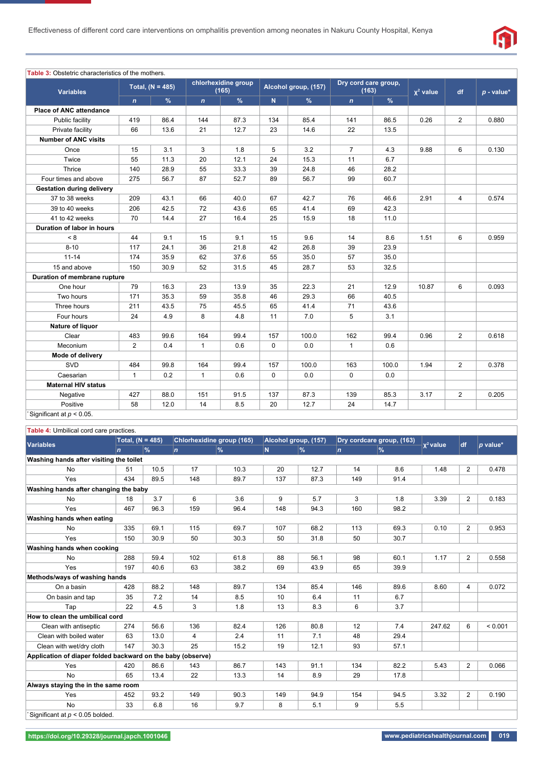

#### **Table 3:** Obstetric characteristics of the mothers. **Variables Total, (N = 485) chlorhexidine group (165) Alcohol group, (157) Dry cord care group,**   $\chi^2$  value df  $p$  - value\* *n* **%** *n* **%N %** *n* **% Place of ANC attendance** Public facility 419 86.4 144 87.3 134 85.4 141 86.5 0.26 2 0.880 Private facility | 66 | 13.6 | 21 | 12.7 | 23 | 14.6 | 22 | 13.5 | | |  **Number of ANC visits** Once 15 3.1 3 1.8 5 3.2 7 4.3 9.88 6 0.130 Twice 55 11.3 20 12.1 24 15.3 11 6.7 Thrice 140 28.9 55 33.3 39 24.8 46 28.2 ... Four times and above 275 56.7 87 52.7 89 56.7 99 60.7  **Gestation during delivery** 37 to 38 weeks | 209 | 43.1 | 66 | 40.0 | 67 | 42.7 | 76 | 46.6 | 2.91 | 4 | 0.574 39 to 40 weeks 206 42.5 72 43.6 65 41.4 69 42.3 41 to 42 weeks 70 14.4 27 16.4 25 15.9 18 11.0  **Duration of labor in hours**  $< 8$  44 9.1 15 9.1 15 9.6 14 8.6 1.51 6 0.959 8-10 | 117 | 24.1 | 36 | 21.8 | 42 | 26.8 | 39 | 23.9 | | | | | 11-14 | 174 | 35.9 | 62 | 37.6 | 55 | 35.0 | 57 | 35.0 | | | | 15 and above 150 30.9 52 31.5 45 28.7 53 32.5  **Duration of membrane rupture** One hour 79 16.3 23 13.9 35 22.3 21 12.9 10.87 6 0.093 Two hours 171 35.3 59 35.8 46 29.3 66 40.5 Three hours | 211 | 43.5 | 75 | 45.5 | 65 | 41.4 | 71 | 43.6 | | | Four hours | 24 | 4.9 | 8 | 4.8 | 11 | 7.0 | 5 | 3.1 | | |  **Nature of liquor** Clear 483 99.6 164 99.4 157 100.0 162 99.4 0.96 2 0.618 Meconium 2 0.4 1 0.6 0.0 1 0.6  **Mode of delivery** SVD 484 99.8 164 99.4 157 100.0 163 100.0 1.94 2 0.378 Caesarian | 1 | 0.2 | 1 | 0.6 | 0 | 0.0 | 0 | 0.0 | 0.0 | 1 | |  **Maternal HIV status** Negative 427 88.0 151 91.5 137 87.3 139 85.3 3.17 2 0.205 Positive | 58 | 12.0 | 14 | 8.5 | 20 | 12.7 | 24 | 14.7 | Significant at  $p < 0.05$ .

| Table 4: Umbilical cord care practices.                     |                    |      |                                  |               |                      |               |              |                           |             |                |            |
|-------------------------------------------------------------|--------------------|------|----------------------------------|---------------|----------------------|---------------|--------------|---------------------------|-------------|----------------|------------|
| <b>Variables</b>                                            | Total, $(N = 485)$ |      | <b>Chlorhexidine group (165)</b> |               | Alcohol group, (157) |               |              | Dry cordcare group, (163) |             |                |            |
|                                                             | $\mathbf n$        | $\%$ | $\overline{p}$                   | $\frac{9}{6}$ | N.                   | $\frac{9}{6}$ | $\mathbf{n}$ | $\frac{9}{6}$             | $x^2$ value | <b>df</b>      | $p$ value* |
| Washing hands after visiting the toilet                     |                    |      |                                  |               |                      |               |              |                           |             |                |            |
| <b>No</b>                                                   | 51                 | 10.5 | 17                               | 10.3          | 20                   | 12.7          | 14           | 8.6                       | 1.48        | $\overline{2}$ | 0.478      |
| Yes                                                         | 434                | 89.5 | 148                              | 89.7          | 137                  | 87.3          | 149          | 91.4                      |             |                |            |
| Washing hands after changing the baby                       |                    |      |                                  |               |                      |               |              |                           |             |                |            |
| <b>No</b>                                                   | 18                 | 3.7  | 6                                | 3.6           | 9                    | 5.7           | 3            | 1.8                       | 3.39        | $\overline{2}$ | 0.183      |
| Yes                                                         | 467                | 96.3 | 159                              | 96.4          | 148                  | 94.3          | 160          | 98.2                      |             |                |            |
| Washing hands when eating                                   |                    |      |                                  |               |                      |               |              |                           |             |                |            |
| <b>No</b>                                                   | 335                | 69.1 | 115                              | 69.7          | 107                  | 68.2          | 113          | 69.3                      | 0.10        | $\overline{2}$ | 0.953      |
| Yes                                                         | 150                | 30.9 | 50                               | 30.3          | 50                   | 31.8          | 50           | 30.7                      |             |                |            |
| Washing hands when cooking                                  |                    |      |                                  |               |                      |               |              |                           |             |                |            |
| <b>No</b>                                                   | 288                | 59.4 | 102                              | 61.8          | 88                   | 56.1          | 98           | 60.1                      | 1.17        | $\overline{2}$ | 0.558      |
| Yes                                                         | 197                | 40.6 | 63                               | 38.2          | 69                   | 43.9          | 65           | 39.9                      |             |                |            |
| Methods/ways of washing hands                               |                    |      |                                  |               |                      |               |              |                           |             |                |            |
| On a basin                                                  | 428                | 88.2 | 148                              | 89.7          | 134                  | 85.4          | 146          | 89.6                      | 8.60        | $\overline{4}$ | 0.072      |
| On basin and tap                                            | 35                 | 7.2  | 14                               | 8.5           | 10                   | 6.4           | 11           | 6.7                       |             |                |            |
| Tap                                                         | 22                 | 4.5  | 3                                | 1.8           | 13                   | 8.3           | 6            | 3.7                       |             |                |            |
| How to clean the umbilical cord                             |                    |      |                                  |               |                      |               |              |                           |             |                |            |
| Clean with antiseptic                                       | 274                | 56.6 | 136                              | 82.4          | 126                  | 80.8          | 12           | 7.4                       | 247.62      | 6              | < 0.001    |
| Clean with boiled water                                     | 63                 | 13.0 | $\overline{4}$                   | 2.4           | 11                   | 7.1           | 48           | 29.4                      |             |                |            |
| Clean with wet/dry cloth                                    | 147                | 30.3 | 25                               | 15.2          | 19                   | 12.1          | 93           | 57.1                      |             |                |            |
| Application of diaper folded backward on the baby (observe) |                    |      |                                  |               |                      |               |              |                           |             |                |            |
| Yes                                                         | 420                | 86.6 | 143                              | 86.7          | 143                  | 91.1          | 134          | 82.2                      | 5.43        | $\overline{2}$ | 0.066      |
| <b>No</b>                                                   | 65                 | 13.4 | 22                               | 13.3          | 14                   | 8.9           | 29           | 17.8                      |             |                |            |
| Always staying the in the same room                         |                    |      |                                  |               |                      |               |              |                           |             |                |            |
| Yes                                                         | 452                | 93.2 | 149                              | 90.3          | 149                  | 94.9          | 154          | 94.5                      | 3.32        | $\overline{2}$ | 0.190      |
| <b>No</b>                                                   | 33                 | 6.8  | 16                               | 9.7           | 8                    | 5.1           | 9            | 5.5                       |             |                |            |
| Significant at $p < 0.05$ bolded.                           |                    |      |                                  |               |                      |               |              |                           |             |                |            |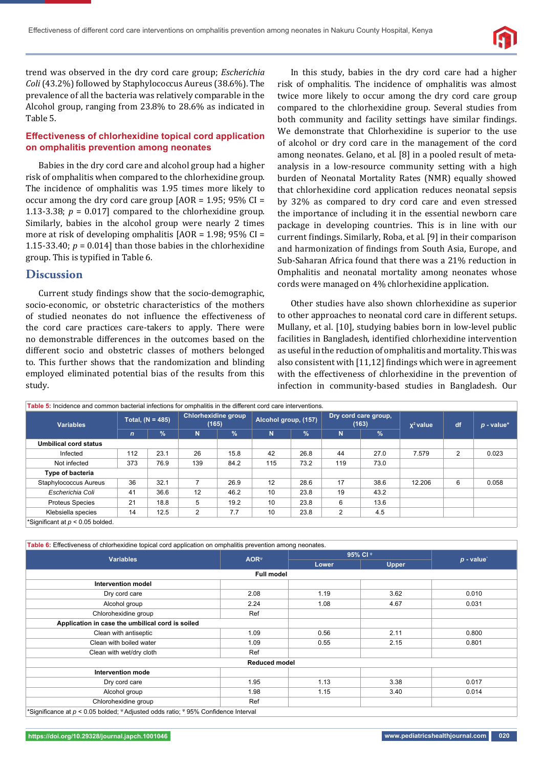

trend was observed in the dry cord care group; *Escherichia Coli* (43.2%) followed by Staphylococcus Aureus (38.6%). The prevalence of all the bacteria was relatively comparable in the Alcohol group, ranging from 23.8% to 28.6% as indicated in Table 5.

# **Effectiveness of chlorhexidine topical cord application on omphalitis prevention among neonates**

Babies in the dry cord care and alcohol group had a higher risk of omphalitis when compared to the chlorhexidine group. The incidence of omphalitis was 1.95 times more likely to occur among the dry cord care group  $[AOR = 1.95; 95\% CI =$ 1.13-3.38;  $p = 0.017$  compared to the chlorhexidine group. Similarly, babies in the alcohol group were nearly 2 times more at risk of developing omphalitis  $[AOR = 1.98; 95\% CI =$ 1.15-33.40;  $p = 0.014$ ] than those babies in the chlorhexidine group. This is typified in Table 6.

# **Discussion**

Current study findings show that the socio-demographic, socio-economic, or obstetric characteristics of the mothers of studied neonates do not influence the effectiveness of the cord care practices care-takers to apply. There were no demonstrable differences in the outcomes based on the different socio and obstetric classes of mothers belonged to. This further shows that the randomization and blinding employed eliminated potential bias of the results from this study.

In this study, babies in the dry cord care had a higher risk of omphalitis. The incidence of omphalitis was almost twice more likely to occur among the dry cord care group compared to the chlorhexidine group. Several studies from both community and facility settings have similar findings. We demonstrate that Chlorhexidine is superior to the use of alcohol or dry cord care in the management of the cord among neonates. Gelano, et al. [8] in a pooled result of metaanalysis in a low-resource community setting with a high burden of Neonatal Mortality Rates (NMR) equally showed that chlorhexidine cord application reduces neonatal sepsis by 32% as compared to dry cord care and even stressed the importance of including it in the essential newborn care package in developing countries. This is in line with our current findings. Similarly, Roba, et al. [9] in their comparison and harmonization of findings from South Asia, Europe, and Sub-Saharan Africa found that there was a 21% reduction in Omphalitis and neonatal mortality among neonates whose cords were managed on 4% chlorhexidine application.

Other studies have also shown chlorhexidine as superior to other approaches to neonatal cord care in different setups. Mullany, et al. [10], studying babies born in low-level public facilities in Bangladesh, identified chlorhexidine intervention as useful in the reduction of omphalitis and mortality. This was also consistent with [11,12] findings which were in agreement with the effectiveness of chlorhexidine in the prevention of infection in community-based studies in Bangladesh. Our

| Table 5: Incidence and common bacterial infections for omphalitis in the different cord care interventions. |                    |               |                              |               |                      |               |                               |      |             |                |              |
|-------------------------------------------------------------------------------------------------------------|--------------------|---------------|------------------------------|---------------|----------------------|---------------|-------------------------------|------|-------------|----------------|--------------|
| <b>Variables</b>                                                                                            | Total, $(N = 485)$ |               | Chlorhexidine group<br>(165) |               | Alcohol group, (157) |               | Dry cord care group,<br>(163) |      | $x^2$ value | df             | $p$ - value* |
|                                                                                                             | $\mathbf n$        | $\frac{1}{2}$ | N                            | $\frac{9}{6}$ | N                    | $\frac{9}{6}$ | N                             | $\%$ |             |                |              |
| <b>Umbilical cord status</b>                                                                                |                    |               |                              |               |                      |               |                               |      |             |                |              |
| Infected                                                                                                    | 112                | 23.1          | 26                           | 15.8          | 42                   | 26.8          | 44                            | 27.0 | 7.579       | $\overline{2}$ | 0.023        |
| Not infected                                                                                                | 373                | 76.9          | 139                          | 84.2          | 115                  | 73.2          | 119                           | 73.0 |             |                |              |
| Type of bacteria                                                                                            |                    |               |                              |               |                      |               |                               |      |             |                |              |
| Staphylococcus Aureus                                                                                       | 36                 | 32.1          |                              | 26.9          | 12                   | 28.6          | 17                            | 38.6 | 12.206      | 6              | 0.058        |
| Escherichia Coli                                                                                            | 41                 | 36.6          | 12                           | 46.2          | 10                   | 23.8          | 19                            | 43.2 |             |                |              |
| <b>Proteus Species</b>                                                                                      | 21                 | 18.8          | 5                            | 19.2          | 10                   | 23.8          | 6                             | 13.6 |             |                |              |
| Klebsiella species                                                                                          | 14                 | 12.5          | 2                            | 7.7           | 10                   | 23.8          | 2                             | 4.5  |             |                |              |
| *Significant at $p < 0.05$ bolded.                                                                          |                    |               |                              |               |                      |               |                               |      |             |                |              |

**Table 6:** Effectiveness of chlorhexidine topical cord application on omphalitis prevention among neonates. **Variables AOR**<sup>ψ</sup> **95% CI** <sup>φ</sup> *p* **- value**\* **Lower Upper Full model Intervention model** Dry cord care 2.08 1.19 3.62 0.010 Alcohol group 2.24 1.08 4.67 0.031 Chlorohexidine group and a set of the Ref  **Application in case the umbilical cord is soiled** Clean with antiseptic  $1.09$   $0.56$   $2.11$   $0.800$ Clean with boiled water 1.09 1.09 1.09 0.55 2.15 0.801 Clean with wet/dry cloth Ref **Reduced model Intervention mode** Dry cord care 1.95 1.13 3.38 0.017 Alcohol group 1.98 1.98 1.15 3.40 0.014 Chlorohexidine group and a set of the Ref \*Significance at *p* < 0.05 bolded; <sup>ψ</sup> Adjusted odds ratio; <sup>φ</sup> 95% Confidence Interval